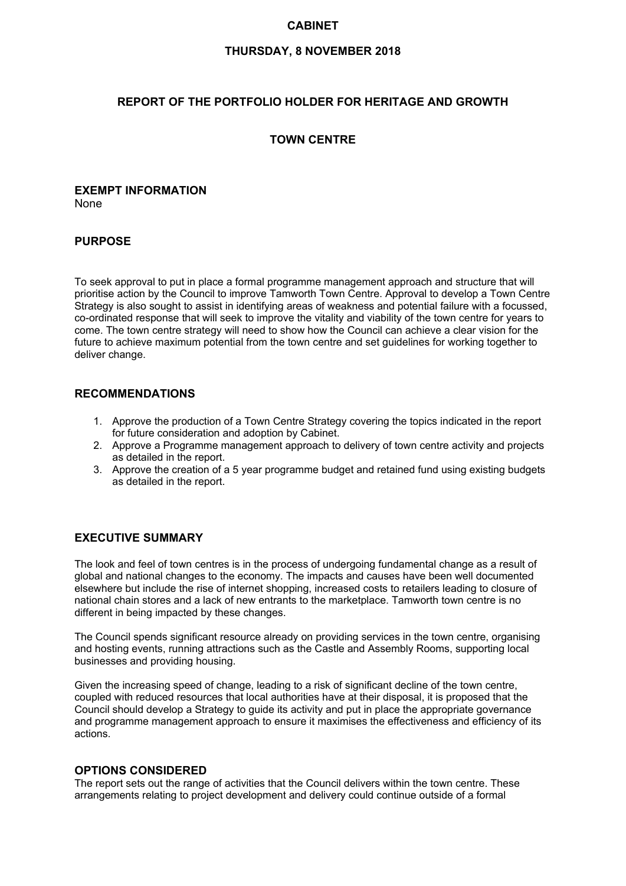## **CABINET**

### **THURSDAY, 8 NOVEMBER 2018**

## **REPORT OF THE PORTFOLIO HOLDER FOR HERITAGE AND GROWTH**

## **TOWN CENTRE**

### **EXEMPT INFORMATION** None

### **PURPOSE**

To seek approval to put in place a formal programme management approach and structure that will prioritise action by the Council to improve Tamworth Town Centre. Approval to develop a Town Centre Strategy is also sought to assist in identifying areas of weakness and potential failure with a focussed, co-ordinated response that will seek to improve the vitality and viability of the town centre for years to come. The town centre strategy will need to show how the Council can achieve a clear vision for the future to achieve maximum potential from the town centre and set guidelines for working together to deliver change.

### **RECOMMENDATIONS**

- 1. Approve the production of a Town Centre Strategy covering the topics indicated in the report for future consideration and adoption by Cabinet.
- 2. Approve a Programme management approach to delivery of town centre activity and projects as detailed in the report.
- 3. Approve the creation of a 5 year programme budget and retained fund using existing budgets as detailed in the report.

## **EXECUTIVE SUMMARY**

The look and feel of town centres is in the process of undergoing fundamental change as a result of global and national changes to the economy. The impacts and causes have been well documented elsewhere but include the rise of internet shopping, increased costs to retailers leading to closure of national chain stores and a lack of new entrants to the marketplace. Tamworth town centre is no different in being impacted by these changes.

The Council spends significant resource already on providing services in the town centre, organising and hosting events, running attractions such as the Castle and Assembly Rooms, supporting local businesses and providing housing.

Given the increasing speed of change, leading to a risk of significant decline of the town centre, coupled with reduced resources that local authorities have at their disposal, it is proposed that the Council should develop a Strategy to guide its activity and put in place the appropriate governance and programme management approach to ensure it maximises the effectiveness and efficiency of its actions.

### **OPTIONS CONSIDERED**

The report sets out the range of activities that the Council delivers within the town centre. These arrangements relating to project development and delivery could continue outside of a formal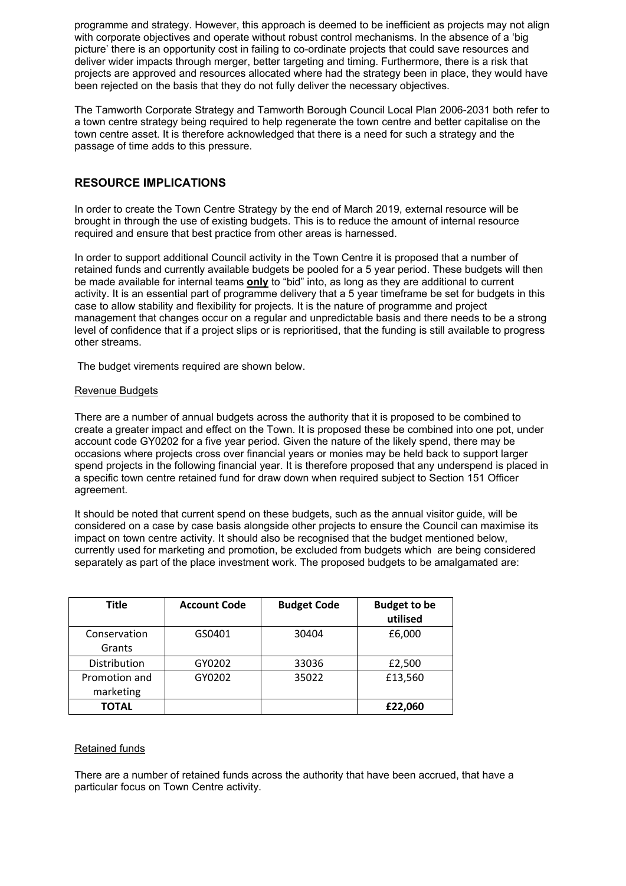programme and strategy. However, this approach is deemed to be inefficient as projects may not align with corporate objectives and operate without robust control mechanisms. In the absence of a 'big picture' there is an opportunity cost in failing to co-ordinate projects that could save resources and deliver wider impacts through merger, better targeting and timing. Furthermore, there is a risk that projects are approved and resources allocated where had the strategy been in place, they would have been rejected on the basis that they do not fully deliver the necessary objectives.

The Tamworth Corporate Strategy and Tamworth Borough Council Local Plan 2006-2031 both refer to a town centre strategy being required to help regenerate the town centre and better capitalise on the town centre asset. It is therefore acknowledged that there is a need for such a strategy and the passage of time adds to this pressure.

## **RESOURCE IMPLICATIONS**

In order to create the Town Centre Strategy by the end of March 2019, external resource will be brought in through the use of existing budgets. This is to reduce the amount of internal resource required and ensure that best practice from other areas is harnessed.

In order to support additional Council activity in the Town Centre it is proposed that a number of retained funds and currently available budgets be pooled for a 5 year period. These budgets will then be made available for internal teams **only** to "bid" into, as long as they are additional to current activity. It is an essential part of programme delivery that a 5 year timeframe be set for budgets in this case to allow stability and flexibility for projects. It is the nature of programme and project management that changes occur on a regular and unpredictable basis and there needs to be a strong level of confidence that if a project slips or is reprioritised, that the funding is still available to progress other streams.

The budget virements required are shown below.

### Revenue Budgets

There are a number of annual budgets across the authority that it is proposed to be combined to create a greater impact and effect on the Town. It is proposed these be combined into one pot, under account code GY0202 for a five year period. Given the nature of the likely spend, there may be occasions where projects cross over financial years or monies may be held back to support larger spend projects in the following financial year. It is therefore proposed that any underspend is placed in a specific town centre retained fund for draw down when required subject to Section 151 Officer agreement.

It should be noted that current spend on these budgets, such as the annual visitor guide, will be considered on a case by case basis alongside other projects to ensure the Council can maximise its impact on town centre activity. It should also be recognised that the budget mentioned below, currently used for marketing and promotion, be excluded from budgets which are being considered separately as part of the place investment work. The proposed budgets to be amalgamated are:

| <b>Title</b>               | <b>Account Code</b> | <b>Budget Code</b> | <b>Budget to be</b><br>utilised |
|----------------------------|---------------------|--------------------|---------------------------------|
| Conservation<br>Grants     | GS0401              | 30404              | £6,000                          |
| Distribution               | GY0202              | 33036              | £2,500                          |
| Promotion and<br>marketing | GY0202              | 35022              | £13,560                         |
| <b>TOTAL</b>               |                     |                    | £22,060                         |

### Retained funds

There are a number of retained funds across the authority that have been accrued, that have a particular focus on Town Centre activity.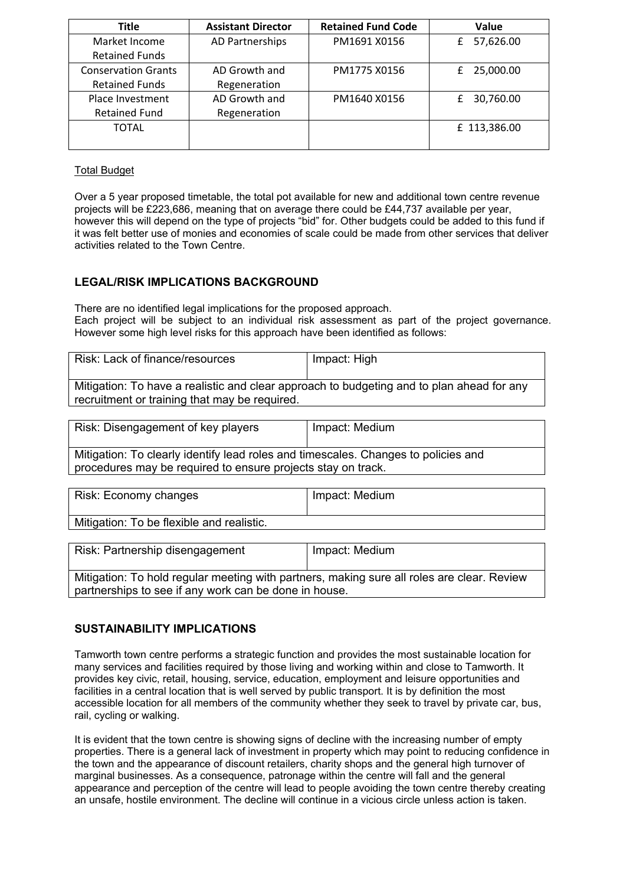| <b>Title</b>               | <b>Assistant Director</b> | <b>Retained Fund Code</b> | Value          |
|----------------------------|---------------------------|---------------------------|----------------|
| Market Income              | AD Partnerships           | PM1691 X0156              | 57,626.00<br>£ |
| <b>Retained Funds</b>      |                           |                           |                |
| <b>Conservation Grants</b> | AD Growth and             | PM1775 X0156              | 25,000.00<br>£ |
| <b>Retained Funds</b>      | Regeneration              |                           |                |
| Place Investment           | AD Growth and             | PM1640 X0156              | 30,760.00<br>£ |
| <b>Retained Fund</b>       | Regeneration              |                           |                |
| <b>TOTAL</b>               |                           |                           | £ 113,386.00   |
|                            |                           |                           |                |

## Total Budget

Over a 5 year proposed timetable, the total pot available for new and additional town centre revenue projects will be £223,686, meaning that on average there could be £44,737 available per year, however this will depend on the type of projects "bid" for. Other budgets could be added to this fund if it was felt better use of monies and economies of scale could be made from other services that deliver activities related to the Town Centre.

# **LEGAL/RISK IMPLICATIONS BACKGROUND**

There are no identified legal implications for the proposed approach. Each project will be subject to an individual risk assessment as part of the project governance. However some high level risks for this approach have been identified as follows:

| Risk: Lack of finance/resources                                                           | Impact: High |
|-------------------------------------------------------------------------------------------|--------------|
| Mitigation: To have a realistic and clear approach to budgeting and to plan ahead for any |              |
| recruitment or training that may be required.                                             |              |

| Risk: Disengagement of key players                                                                                                                 | Impact: Medium |
|----------------------------------------------------------------------------------------------------------------------------------------------------|----------------|
| Mitigation: To clearly identify lead roles and timescales. Changes to policies and<br>procedures may be required to ensure projects stay on track. |                |

| Risk: Economy changes                     | Impact: Medium |
|-------------------------------------------|----------------|
| Mitigation: To be flexible and realistic. |                |

| Risk: Partnership disengagement                                                            | Impact: Medium |  |
|--------------------------------------------------------------------------------------------|----------------|--|
| Mitigation: To hold regular meeting with partners, making sure all roles are clear. Review |                |  |
| partnerships to see if any work can be done in house.                                      |                |  |

# **SUSTAINABILITY IMPLICATIONS**

Tamworth town centre performs a strategic function and provides the most sustainable location for many services and facilities required by those living and working within and close to Tamworth. It provides key civic, retail, housing, service, education, employment and leisure opportunities and facilities in a central location that is well served by public transport. It is by definition the most accessible location for all members of the community whether they seek to travel by private car, bus, rail, cycling or walking.

It is evident that the town centre is showing signs of decline with the increasing number of empty properties. There is a general lack of investment in property which may point to reducing confidence in the town and the appearance of discount retailers, charity shops and the general high turnover of marginal businesses. As a consequence, patronage within the centre will fall and the general appearance and perception of the centre will lead to people avoiding the town centre thereby creating an unsafe, hostile environment. The decline will continue in a vicious circle unless action is taken.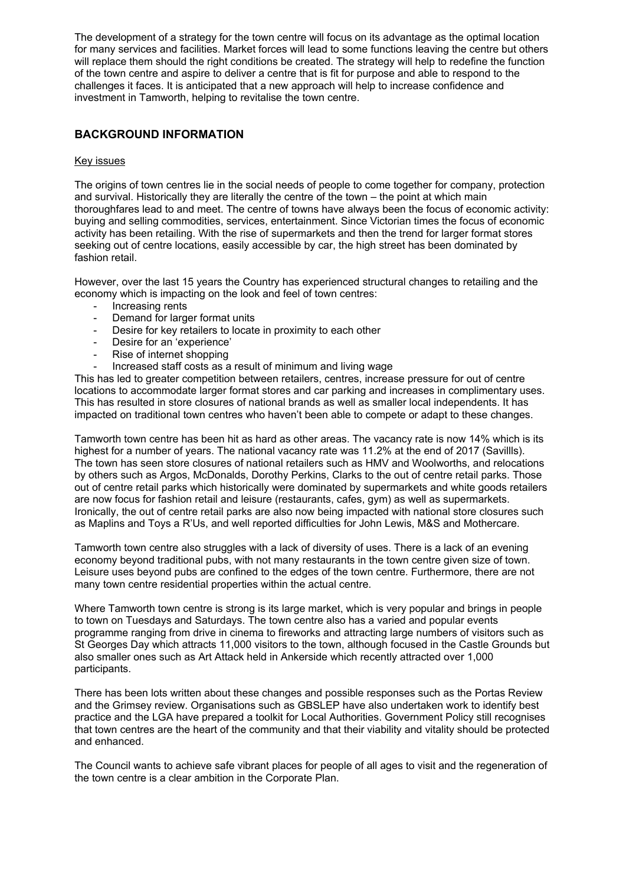The development of a strategy for the town centre will focus on its advantage as the optimal location for many services and facilities. Market forces will lead to some functions leaving the centre but others will replace them should the right conditions be created. The strategy will help to redefine the function of the town centre and aspire to deliver a centre that is fit for purpose and able to respond to the challenges it faces. It is anticipated that a new approach will help to increase confidence and investment in Tamworth, helping to revitalise the town centre.

## **BACKGROUND INFORMATION**

### Key issues

The origins of town centres lie in the social needs of people to come together for company, protection and survival. Historically they are literally the centre of the town – the point at which main thoroughfares lead to and meet. The centre of towns have always been the focus of economic activity: buying and selling commodities, services, entertainment. Since Victorian times the focus of economic activity has been retailing. With the rise of supermarkets and then the trend for larger format stores seeking out of centre locations, easily accessible by car, the high street has been dominated by fashion retail.

However, over the last 15 years the Country has experienced structural changes to retailing and the economy which is impacting on the look and feel of town centres:

- Increasing rents
- Demand for larger format units<br>- Desire for key retailers to locate
- Desire for key retailers to locate in proximity to each other
- Desire for an 'experience'
- Rise of internet shopping
- Increased staff costs as a result of minimum and living wage

This has led to greater competition between retailers, centres, increase pressure for out of centre locations to accommodate larger format stores and car parking and increases in complimentary uses. This has resulted in store closures of national brands as well as smaller local independents. It has impacted on traditional town centres who haven't been able to compete or adapt to these changes.

Tamworth town centre has been hit as hard as other areas. The vacancy rate is now 14% which is its highest for a number of years. The national vacancy rate was 11.2% at the end of 2017 (Savillls). The town has seen store closures of national retailers such as HMV and Woolworths, and relocations by others such as Argos, McDonalds, Dorothy Perkins, Clarks to the out of centre retail parks. Those out of centre retail parks which historically were dominated by supermarkets and white goods retailers are now focus for fashion retail and leisure (restaurants, cafes, gym) as well as supermarkets. Ironically, the out of centre retail parks are also now being impacted with national store closures such as Maplins and Toys a R'Us, and well reported difficulties for John Lewis, M&S and Mothercare.

Tamworth town centre also struggles with a lack of diversity of uses. There is a lack of an evening economy beyond traditional pubs, with not many restaurants in the town centre given size of town. Leisure uses beyond pubs are confined to the edges of the town centre. Furthermore, there are not many town centre residential properties within the actual centre.

Where Tamworth town centre is strong is its large market, which is very popular and brings in people to town on Tuesdays and Saturdays. The town centre also has a varied and popular events programme ranging from drive in cinema to fireworks and attracting large numbers of visitors such as St Georges Day which attracts 11,000 visitors to the town, although focused in the Castle Grounds but also smaller ones such as Art Attack held in Ankerside which recently attracted over 1,000 participants.

There has been lots written about these changes and possible responses such as the Portas Review and the Grimsey review. Organisations such as GBSLEP have also undertaken work to identify best practice and the LGA have prepared a toolkit for Local Authorities. Government Policy still recognises that town centres are the heart of the community and that their viability and vitality should be protected and enhanced.

The Council wants to achieve safe vibrant places for people of all ages to visit and the regeneration of the town centre is a clear ambition in the Corporate Plan.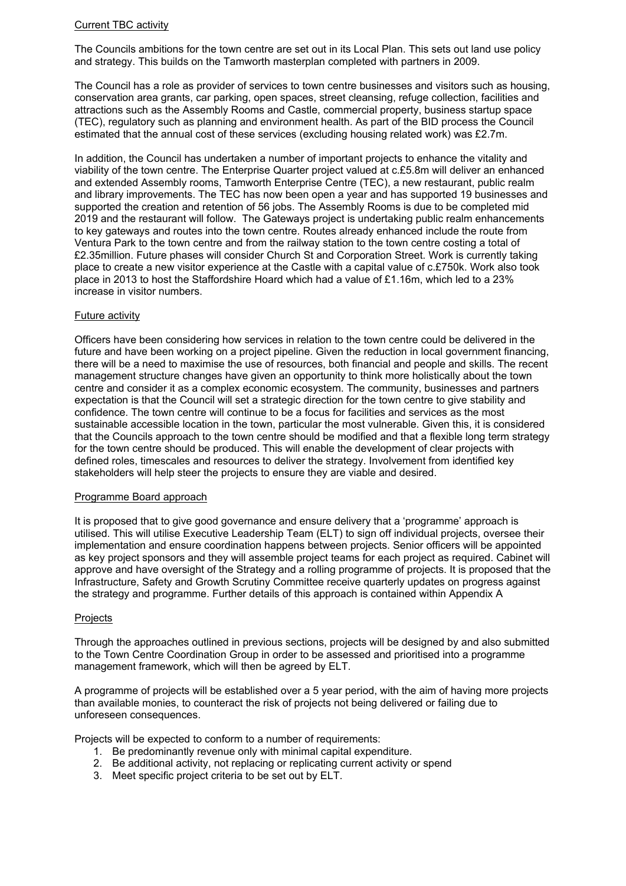### Current TBC activity

The Councils ambitions for the town centre are set out in its Local Plan. This sets out land use policy and strategy. This builds on the Tamworth masterplan completed with partners in 2009.

The Council has a role as provider of services to town centre businesses and visitors such as housing, conservation area grants, car parking, open spaces, street cleansing, refuge collection, facilities and attractions such as the Assembly Rooms and Castle, commercial property, business startup space (TEC), regulatory such as planning and environment health. As part of the BID process the Council estimated that the annual cost of these services (excluding housing related work) was £2.7m.

In addition, the Council has undertaken a number of important projects to enhance the vitality and viability of the town centre. The Enterprise Quarter project valued at c.£5.8m will deliver an enhanced and extended Assembly rooms, Tamworth Enterprise Centre (TEC), a new restaurant, public realm and library improvements. The TEC has now been open a year and has supported 19 businesses and supported the creation and retention of 56 jobs. The Assembly Rooms is due to be completed mid 2019 and the restaurant will follow. The Gateways project is undertaking public realm enhancements to key gateways and routes into the town centre. Routes already enhanced include the route from Ventura Park to the town centre and from the railway station to the town centre costing a total of £2.35million. Future phases will consider Church St and Corporation Street. Work is currently taking place to create a new visitor experience at the Castle with a capital value of c.£750k. Work also took place in 2013 to host the Staffordshire Hoard which had a value of £1.16m, which led to a 23% increase in visitor numbers.

### Future activity

Officers have been considering how services in relation to the town centre could be delivered in the future and have been working on a project pipeline. Given the reduction in local government financing, there will be a need to maximise the use of resources, both financial and people and skills. The recent management structure changes have given an opportunity to think more holistically about the town centre and consider it as a complex economic ecosystem. The community, businesses and partners expectation is that the Council will set a strategic direction for the town centre to give stability and confidence. The town centre will continue to be a focus for facilities and services as the most sustainable accessible location in the town, particular the most vulnerable. Given this, it is considered that the Councils approach to the town centre should be modified and that a flexible long term strategy for the town centre should be produced. This will enable the development of clear projects with defined roles, timescales and resources to deliver the strategy. Involvement from identified key stakeholders will help steer the projects to ensure they are viable and desired.

### Programme Board approach

It is proposed that to give good governance and ensure delivery that a 'programme' approach is utilised. This will utilise Executive Leadership Team (ELT) to sign off individual projects, oversee their implementation and ensure coordination happens between projects. Senior officers will be appointed as key project sponsors and they will assemble project teams for each project as required. Cabinet will approve and have oversight of the Strategy and a rolling programme of projects. It is proposed that the Infrastructure, Safety and Growth Scrutiny Committee receive quarterly updates on progress against the strategy and programme. Further details of this approach is contained within Appendix A

### **Projects**

Through the approaches outlined in previous sections, projects will be designed by and also submitted to the Town Centre Coordination Group in order to be assessed and prioritised into a programme management framework, which will then be agreed by ELT.

A programme of projects will be established over a 5 year period, with the aim of having more projects than available monies, to counteract the risk of projects not being delivered or failing due to unforeseen consequences.

Projects will be expected to conform to a number of requirements:

- 1. Be predominantly revenue only with minimal capital expenditure.
- 2. Be additional activity, not replacing or replicating current activity or spend
- 3. Meet specific project criteria to be set out by ELT.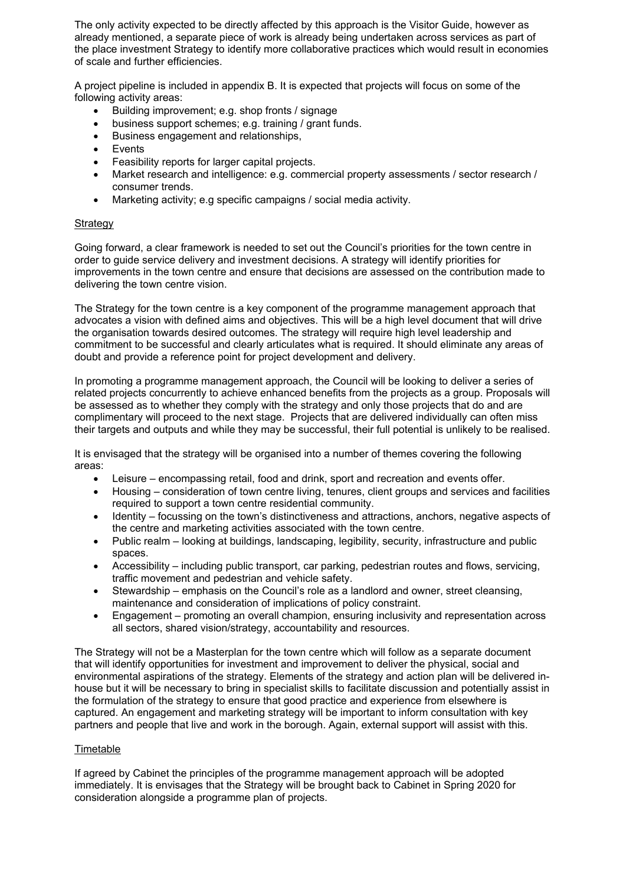The only activity expected to be directly affected by this approach is the Visitor Guide, however as already mentioned, a separate piece of work is already being undertaken across services as part of the place investment Strategy to identify more collaborative practices which would result in economies of scale and further efficiencies.

A project pipeline is included in appendix B. It is expected that projects will focus on some of the following activity areas:

- Building improvement; e.g. shop fronts / signage
- business support schemes; e.g. training / grant funds.
- Business engagement and relationships,
- Events
- Feasibility reports for larger capital projects.
- Market research and intelligence: e.g. commercial property assessments / sector research / consumer trends.
- Marketing activity; e.g specific campaigns / social media activity.

### **Strategy**

Going forward, a clear framework is needed to set out the Council's priorities for the town centre in order to guide service delivery and investment decisions. A strategy will identify priorities for improvements in the town centre and ensure that decisions are assessed on the contribution made to delivering the town centre vision.

The Strategy for the town centre is a key component of the programme management approach that advocates a vision with defined aims and objectives. This will be a high level document that will drive the organisation towards desired outcomes. The strategy will require high level leadership and commitment to be successful and clearly articulates what is required. It should eliminate any areas of doubt and provide a reference point for project development and delivery.

In promoting a programme management approach, the Council will be looking to deliver a series of related projects concurrently to achieve enhanced benefits from the projects as a group. Proposals will be assessed as to whether they comply with the strategy and only those projects that do and are complimentary will proceed to the next stage. Projects that are delivered individually can often miss their targets and outputs and while they may be successful, their full potential is unlikely to be realised.

It is envisaged that the strategy will be organised into a number of themes covering the following areas:

- Leisure encompassing retail, food and drink, sport and recreation and events offer.
- Housing consideration of town centre living, tenures, client groups and services and facilities required to support a town centre residential community.
- Identity focussing on the town's distinctiveness and attractions, anchors, negative aspects of the centre and marketing activities associated with the town centre.
- Public realm looking at buildings, landscaping, legibility, security, infrastructure and public spaces.
- Accessibility including public transport, car parking, pedestrian routes and flows, servicing, traffic movement and pedestrian and vehicle safety.
- Stewardship emphasis on the Council's role as a landlord and owner, street cleansing, maintenance and consideration of implications of policy constraint.
- Engagement promoting an overall champion, ensuring inclusivity and representation across all sectors, shared vision/strategy, accountability and resources.

The Strategy will not be a Masterplan for the town centre which will follow as a separate document that will identify opportunities for investment and improvement to deliver the physical, social and environmental aspirations of the strategy. Elements of the strategy and action plan will be delivered inhouse but it will be necessary to bring in specialist skills to facilitate discussion and potentially assist in the formulation of the strategy to ensure that good practice and experience from elsewhere is captured. An engagement and marketing strategy will be important to inform consultation with key partners and people that live and work in the borough. Again, external support will assist with this.

### Timetable

If agreed by Cabinet the principles of the programme management approach will be adopted immediately. It is envisages that the Strategy will be brought back to Cabinet in Spring 2020 for consideration alongside a programme plan of projects.